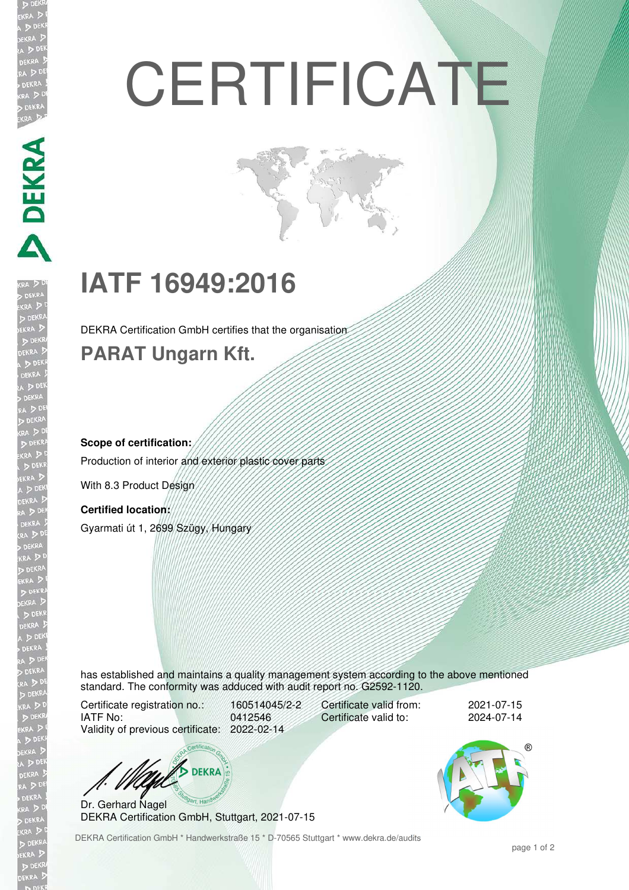# **CERTIFICATE**

## **IATF 16949:2016**

DEKRA Certification GmbH certifies that the organisation

## **PARAT Ungarn Kft.**

## **Scope of certification:**

**DEKRA** 

Production of interior and exterior plastic cover parts

With 8.3 Product Design

### **Certified location:**

Gyarmati út 1, 2699 Szügy, Hungary

has established and maintains a quality management system according to the above mentioned standard. The conformity was adduced with audit report no. G2592-1120.

Certificate registration no.: 160514045/2-2 IATF No: 0412546 Validity of previous certificate: 2022-02-14

Certificate valid from: 2021-07-15<br>Certificate valid to: 2024-07-14 Certificate valid to:



Dr. Gerhard Nagel DEKRA Certification GmbH, Stuttgart, 2021-07-15

DEKRA Certification GmbH \* Handwerkstraße 15 \* D-70565 Stuttgart \* www.dekra.de/audits